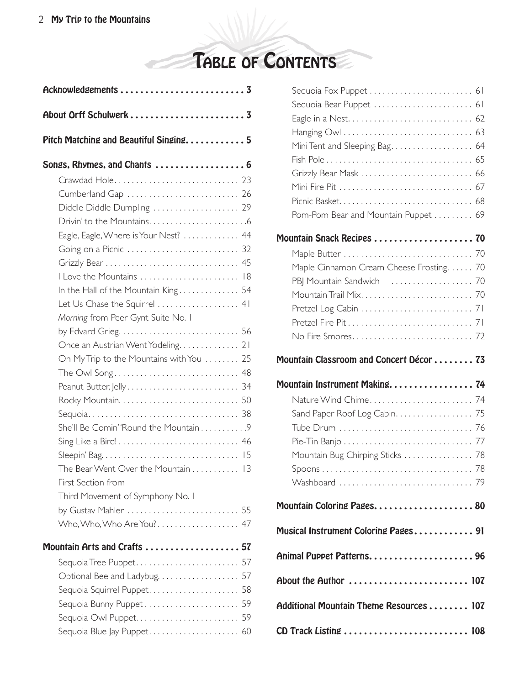TABLE OF CONTENTS

| Acknowledgements 3                                          |  |
|-------------------------------------------------------------|--|
| About Orff Schulwerk  3                                     |  |
| Pitch Matching and Beautiful Singing 5                      |  |
| Songs, Rhymes, and Chants  6                                |  |
|                                                             |  |
| Cumberland Gap  26                                          |  |
| Diddle Diddle Dumpling  29                                  |  |
|                                                             |  |
| Eagle, Eagle, Where is Your Nest? $\ldots \ldots \ldots$ 44 |  |
|                                                             |  |
|                                                             |  |
| I Love the Mountains  18                                    |  |
| In the Hall of the Mountain King 54                         |  |
| Let Us Chase the Squirrel  41                               |  |
| Morning from Peer Gynt Suite No. I                          |  |
|                                                             |  |
| Once an Austrian Went Yodeling 21                           |  |
| On My Trip to the Mountains with You  25                    |  |
|                                                             |  |
|                                                             |  |
|                                                             |  |
|                                                             |  |
| She'll Be Comin' 'Round the Mountain9                       |  |
|                                                             |  |
|                                                             |  |
| The Bear Went Over the Mountain 13                          |  |
| First Section from                                          |  |
| Third Movement of Symphony No. I                            |  |
| Who, Who, Who Are You? 47                                   |  |
|                                                             |  |
| Mountain Arts and Crafts  57                                |  |
| Sequoia Tree Puppet 57                                      |  |
|                                                             |  |
| Sequoia Squirrel Puppet 58                                  |  |
| Sequoia Bunny Puppet 59                                     |  |
|                                                             |  |
|                                                             |  |
|                                                             |  |

| Mini Tent and Sleeping Bag 64           |  |
|-----------------------------------------|--|
|                                         |  |
| Grizzly Bear Mask  66                   |  |
|                                         |  |
|                                         |  |
| Pom-Pom Bear and Mountain Puppet  69    |  |
|                                         |  |
|                                         |  |
| Maple Cinnamon Cream Cheese Frosting 70 |  |
|                                         |  |
|                                         |  |
|                                         |  |
|                                         |  |
|                                         |  |
|                                         |  |
| Mountain Classroom and Concert Décor 73 |  |
| Mountain Instrument Making 74           |  |
|                                         |  |
|                                         |  |
|                                         |  |
|                                         |  |
| Mountain Bug Chirping Sticks  78        |  |
|                                         |  |
|                                         |  |
| Mountain Coloring Pages 80              |  |
| Musical Instrument Coloring Pages 91    |  |
| Animal Puppet Patterns 96               |  |
| About the Author  107                   |  |
| Additional Mountain Theme Resources 107 |  |
| CD Track Listing  108                   |  |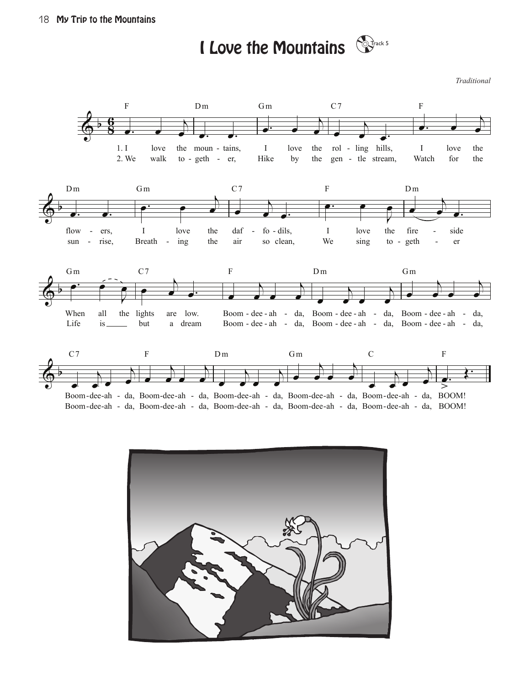I Love the Mountains  $\mathbb{S}^{\mathbb{F}^{\text{ack}5}}$ 

*Traditional*